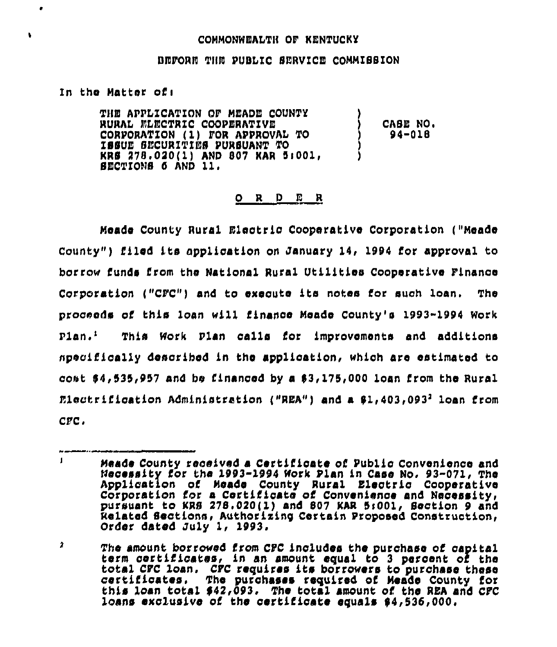## COMMONWEALTH OF KENTUCKY

## BEFORE THE PUBLIC SERVICE COMMISSION

## In the Matter of:

 $\bullet$ 

¥

THE APPLICATION OF MEADE COUNTY CABE NO. RURAL ELECTRIC COOPERATIVE CORPORATION (1) FOR APPROVAL TO  $94 - 018$ ISSUE SECURITIES PURSUANT TO KRS 278.020(1) AND 807 KAR 5:001, SECTIONS 6 AND 11.

## ORDER

Meade County Rural Electric Cooperative Corporation ("Meade County") filed its application on January 14, 1994 for approval to borrow funds from the National Rural Utilities Cooperative Finance Corporation ("CFC") and to execute its notes for such loan. The proceeds of this loan will finance Meade County's 1993-1994 Work  $P1an.$ This Work Plan calls for improvements and additions specifically described in the application, which are estimated to cost \$4,535,957 and be financed by a \$3,175,000 loan from the Rural Electrification Administration ("REA") and a \$1,403,0932 loan from  $CFC.$ 

 $\blacksquare$ Meade County received a Certificate of Public Convenience and Mecessity for the 1993-1994 Work Plan in Case No. 93-071, The Application of Meade County Rural Electric Cooperative Corporation for a Certificate of Convenience and Necessity, pursuant to KRS 278.020(1) and 807 KAR 5:001, Section 9 and Related Sections, Authorizing Certain Proposed Construction, Order dated July 1, 1993.

 $\mathbf{r}$ The amount borrowed from CFC includes the purchase of capital term certificates, in an amount equal to 3 percent of the total CFC loan. CFC requires its borrowers to purchase these certificates. The purchases required of Meade County for this loan total \$42,093. The total amount of the REA and CFC loans exclusive of the certificate equals \$4,536,000.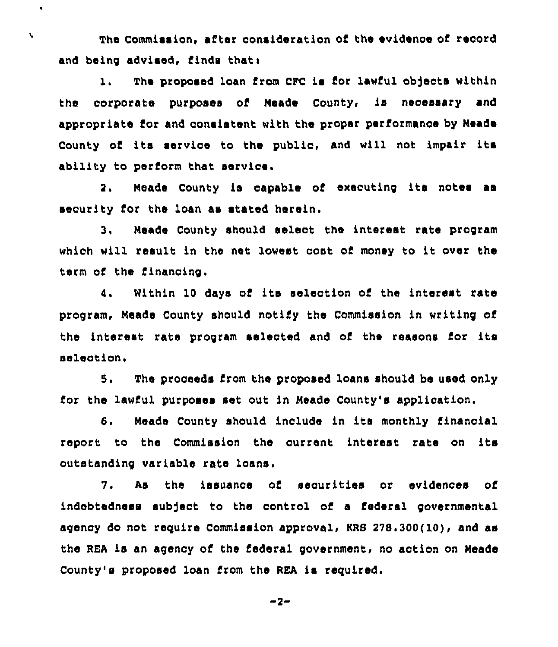The Commission, after consideration of the evidence of record and being advised, finds that:

 $\bullet$ 

 $\mathbf{v}$ 

1. The proposed loan from CFC is for lawful objects within the corporate purposes of Neade County, is necessary and appropriate for and consistent with the proper performance by Neade County of its service to the public, and will not impair its ability to perform that servioe.

2. Neade County is capable of executing its notes ae security for the loan as stated herein,

3. Meade County should select the interest rate program which will result in the net lowest cost of money to it over the term of the financing.

4. Within 10 days of its selection of the interest rate program, Neade County should notify the Commission in writing of the interest rate program selected and of the reasons for its selection.

S. The proceeds from the proposed loans should be used only for the lawful purposes set out in Meade County's application.

6. Meade County should include in its monthly financial report to the Commission the current interest rate on its outstanding variable rate loans,

7. As the issuance of securities or evidences of indebtedness subject to the control of a federal governmental agency do not require Commission approval, KRS 378.300(10), and as the REA is an agency of the federal government, no action on Meade County's proposed loan from the REA is required.

$$
-2-
$$